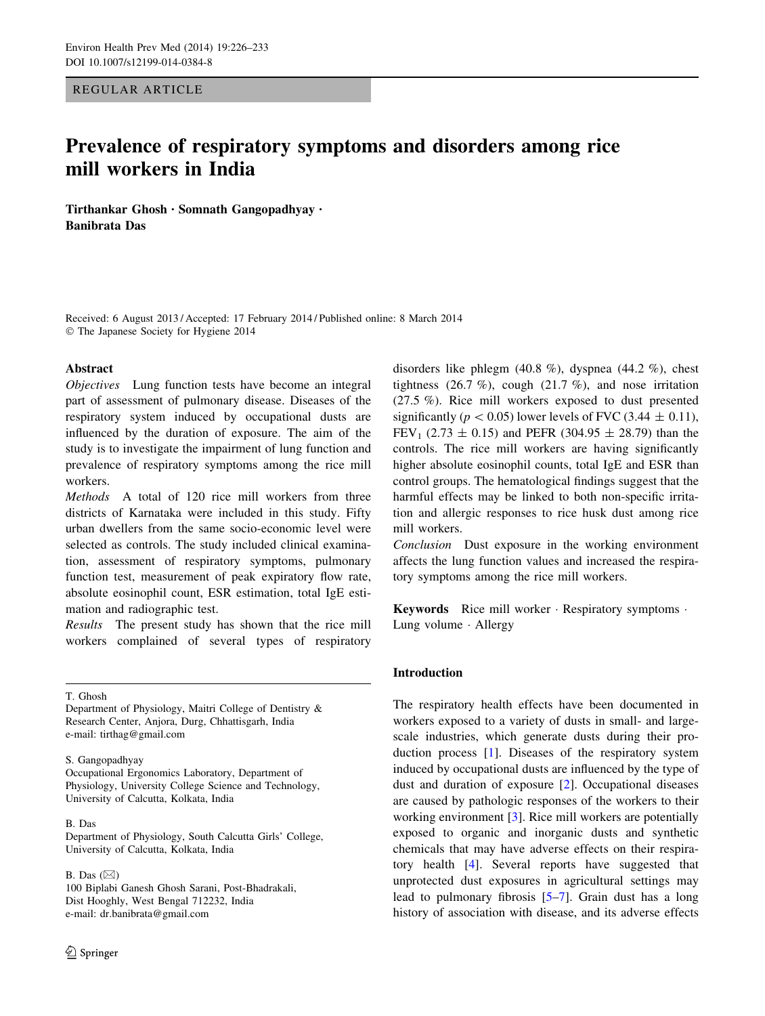REGULAR ARTICLE

# Prevalence of respiratory symptoms and disorders among rice mill workers in India

Tirthankar Ghosh • Somnath Gangopadhyay • Banibrata Das

Received: 6 August 2013 / Accepted: 17 February 2014 / Published online: 8 March 2014 - The Japanese Society for Hygiene 2014

### Abstract

Objectives Lung function tests have become an integral part of assessment of pulmonary disease. Diseases of the respiratory system induced by occupational dusts are influenced by the duration of exposure. The aim of the study is to investigate the impairment of lung function and prevalence of respiratory symptoms among the rice mill workers.

Methods A total of 120 rice mill workers from three districts of Karnataka were included in this study. Fifty urban dwellers from the same socio-economic level were selected as controls. The study included clinical examination, assessment of respiratory symptoms, pulmonary function test, measurement of peak expiratory flow rate, absolute eosinophil count, ESR estimation, total IgE estimation and radiographic test.

Results The present study has shown that the rice mill workers complained of several types of respiratory

T. Ghosh

Department of Physiology, Maitri College of Dentistry & Research Center, Anjora, Durg, Chhattisgarh, India e-mail: tirthag@gmail.com

S. Gangopadhyay

Occupational Ergonomics Laboratory, Department of Physiology, University College Science and Technology, University of Calcutta, Kolkata, India

#### B. Das

Department of Physiology, South Calcutta Girls' College, University of Calcutta, Kolkata, India

B. Das  $(\boxtimes)$ 

100 Biplabi Ganesh Ghosh Sarani, Post-Bhadrakali, Dist Hooghly, West Bengal 712232, India e-mail: dr.banibrata@gmail.com

disorders like phlegm (40.8 %), dyspnea (44.2 %), chest tightness  $(26.7 \%)$ , cough  $(21.7 \%)$ , and nose irritation (27.5 %). Rice mill workers exposed to dust presented significantly ( $p < 0.05$ ) lower levels of FVC (3.44  $\pm$  0.11), FEV<sub>1</sub> (2.73  $\pm$  0.15) and PEFR (304.95  $\pm$  28.79) than the controls. The rice mill workers are having significantly higher absolute eosinophil counts, total IgE and ESR than control groups. The hematological findings suggest that the harmful effects may be linked to both non-specific irritation and allergic responses to rice husk dust among rice mill workers.

Conclusion Dust exposure in the working environment affects the lung function values and increased the respiratory symptoms among the rice mill workers.

Keywords Rice mill worker · Respiratory symptoms · Lung volume - Allergy

### Introduction

The respiratory health effects have been documented in workers exposed to a variety of dusts in small- and largescale industries, which generate dusts during their production process [\[1](#page-6-0)]. Diseases of the respiratory system induced by occupational dusts are influenced by the type of dust and duration of exposure [[2\]](#page-6-0). Occupational diseases are caused by pathologic responses of the workers to their working environment [[3\]](#page-6-0). Rice mill workers are potentially exposed to organic and inorganic dusts and synthetic chemicals that may have adverse effects on their respiratory health [\[4\]](#page-6-0). Several reports have suggested that unprotected dust exposures in agricultural settings may lead to pulmonary fibrosis [\[5–7](#page-7-0)]. Grain dust has a long history of association with disease, and its adverse effects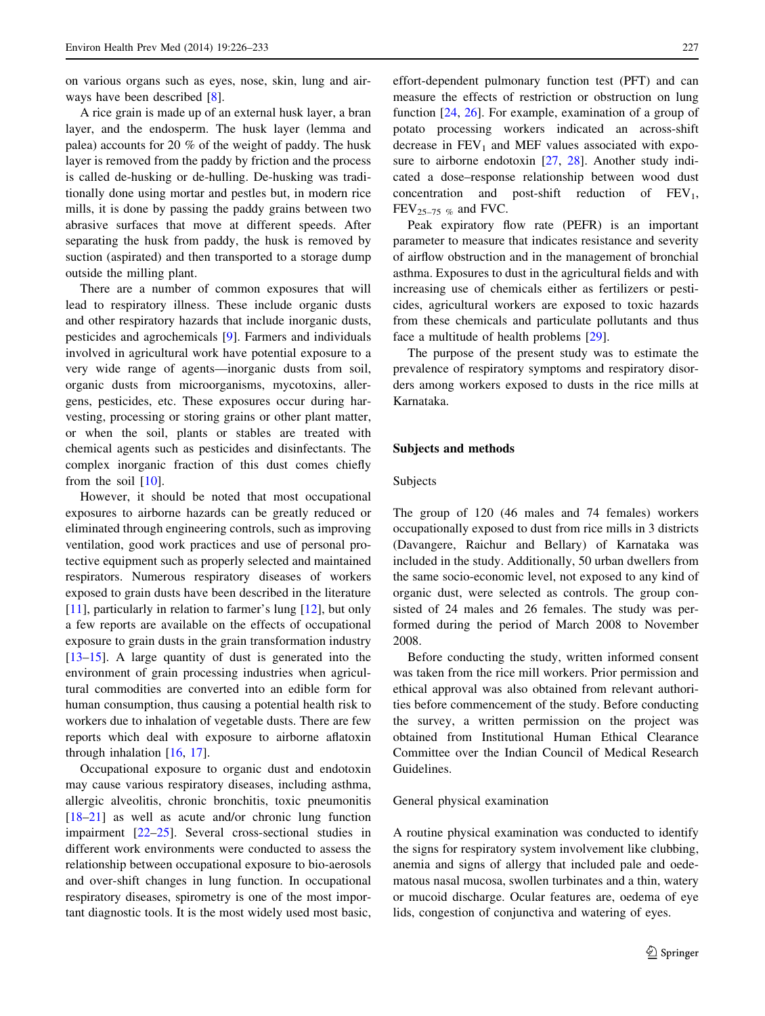on various organs such as eyes, nose, skin, lung and airways have been described [\[8](#page-7-0)].

A rice grain is made up of an external husk layer, a bran layer, and the endosperm. The husk layer (lemma and palea) accounts for 20 % of the weight of paddy. The husk layer is removed from the paddy by friction and the process is called de-husking or de-hulling. De-husking was traditionally done using mortar and pestles but, in modern rice mills, it is done by passing the paddy grains between two abrasive surfaces that move at different speeds. After separating the husk from paddy, the husk is removed by suction (aspirated) and then transported to a storage dump outside the milling plant.

There are a number of common exposures that will lead to respiratory illness. These include organic dusts and other respiratory hazards that include inorganic dusts, pesticides and agrochemicals [\[9](#page-7-0)]. Farmers and individuals involved in agricultural work have potential exposure to a very wide range of agents—inorganic dusts from soil, organic dusts from microorganisms, mycotoxins, allergens, pesticides, etc. These exposures occur during harvesting, processing or storing grains or other plant matter, or when the soil, plants or stables are treated with chemical agents such as pesticides and disinfectants. The complex inorganic fraction of this dust comes chiefly from the soil  $[10]$  $[10]$ .

However, it should be noted that most occupational exposures to airborne hazards can be greatly reduced or eliminated through engineering controls, such as improving ventilation, good work practices and use of personal protective equipment such as properly selected and maintained respirators. Numerous respiratory diseases of workers exposed to grain dusts have been described in the literature [\[11](#page-7-0)], particularly in relation to farmer's lung [\[12](#page-7-0)], but only a few reports are available on the effects of occupational exposure to grain dusts in the grain transformation industry [\[13–15](#page-7-0)]. A large quantity of dust is generated into the environment of grain processing industries when agricultural commodities are converted into an edible form for human consumption, thus causing a potential health risk to workers due to inhalation of vegetable dusts. There are few reports which deal with exposure to airborne aflatoxin through inhalation [\[16](#page-7-0), [17\]](#page-7-0).

Occupational exposure to organic dust and endotoxin may cause various respiratory diseases, including asthma, allergic alveolitis, chronic bronchitis, toxic pneumonitis [\[18–21](#page-7-0)] as well as acute and/or chronic lung function impairment [\[22–25](#page-7-0)]. Several cross-sectional studies in different work environments were conducted to assess the relationship between occupational exposure to bio-aerosols and over-shift changes in lung function. In occupational respiratory diseases, spirometry is one of the most important diagnostic tools. It is the most widely used most basic,

effort-dependent pulmonary function test (PFT) and can measure the effects of restriction or obstruction on lung function [\[24](#page-7-0), [26\]](#page-7-0). For example, examination of a group of potato processing workers indicated an across-shift decrease in  $FEV<sub>1</sub>$  and MEF values associated with expo-sure to airborne endotoxin [[27,](#page-7-0) [28\]](#page-7-0). Another study indicated a dose–response relationship between wood dust concentration and post-shift reduction of  $FEV<sub>1</sub>$ ,  $FEV_{25-75\%}$  and FVC.

Peak expiratory flow rate (PEFR) is an important parameter to measure that indicates resistance and severity of airflow obstruction and in the management of bronchial asthma. Exposures to dust in the agricultural fields and with increasing use of chemicals either as fertilizers or pesticides, agricultural workers are exposed to toxic hazards from these chemicals and particulate pollutants and thus face a multitude of health problems [\[29](#page-7-0)].

The purpose of the present study was to estimate the prevalence of respiratory symptoms and respiratory disorders among workers exposed to dusts in the rice mills at Karnataka.

### Subjects and methods

### Subjects

The group of 120 (46 males and 74 females) workers occupationally exposed to dust from rice mills in 3 districts (Davangere, Raichur and Bellary) of Karnataka was included in the study. Additionally, 50 urban dwellers from the same socio-economic level, not exposed to any kind of organic dust, were selected as controls. The group consisted of 24 males and 26 females. The study was performed during the period of March 2008 to November 2008.

Before conducting the study, written informed consent was taken from the rice mill workers. Prior permission and ethical approval was also obtained from relevant authorities before commencement of the study. Before conducting the survey, a written permission on the project was obtained from Institutional Human Ethical Clearance Committee over the Indian Council of Medical Research Guidelines.

#### General physical examination

A routine physical examination was conducted to identify the signs for respiratory system involvement like clubbing, anemia and signs of allergy that included pale and oedematous nasal mucosa, swollen turbinates and a thin, watery or mucoid discharge. Ocular features are, oedema of eye lids, congestion of conjunctiva and watering of eyes.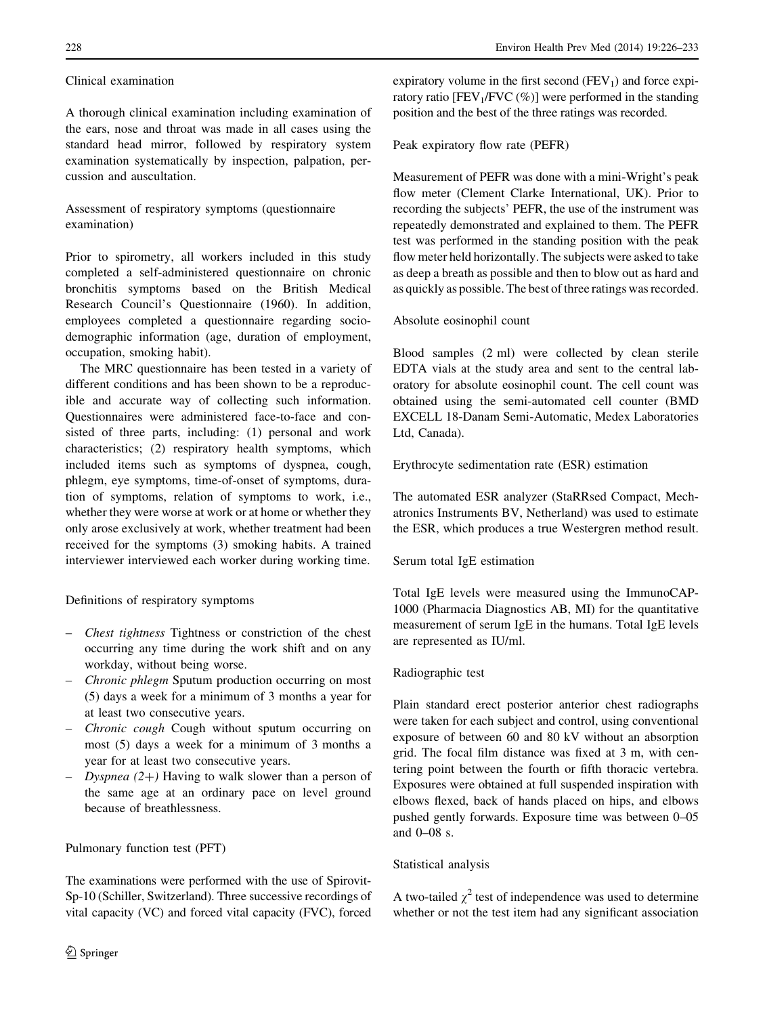# Clinical examination

A thorough clinical examination including examination of the ears, nose and throat was made in all cases using the standard head mirror, followed by respiratory system examination systematically by inspection, palpation, percussion and auscultation.

# Assessment of respiratory symptoms (questionnaire examination)

Prior to spirometry, all workers included in this study completed a self-administered questionnaire on chronic bronchitis symptoms based on the British Medical Research Council's Questionnaire (1960). In addition, employees completed a questionnaire regarding sociodemographic information (age, duration of employment, occupation, smoking habit).

The MRC questionnaire has been tested in a variety of different conditions and has been shown to be a reproducible and accurate way of collecting such information. Questionnaires were administered face-to-face and consisted of three parts, including: (1) personal and work characteristics; (2) respiratory health symptoms, which included items such as symptoms of dyspnea, cough, phlegm, eye symptoms, time-of-onset of symptoms, duration of symptoms, relation of symptoms to work, i.e., whether they were worse at work or at home or whether they only arose exclusively at work, whether treatment had been received for the symptoms (3) smoking habits. A trained interviewer interviewed each worker during working time.

Definitions of respiratory symptoms

- Chest tightness Tightness or constriction of the chest occurring any time during the work shift and on any workday, without being worse.
- Chronic phlegm Sputum production occurring on most (5) days a week for a minimum of 3 months a year for at least two consecutive years.
- Chronic cough Cough without sputum occurring on most (5) days a week for a minimum of 3 months a year for at least two consecutive years.
- Dyspnea  $(2+)$  Having to walk slower than a person of the same age at an ordinary pace on level ground because of breathlessness.

# Pulmonary function test (PFT)

The examinations were performed with the use of Spirovit-Sp-10 (Schiller, Switzerland). Three successive recordings of vital capacity (VC) and forced vital capacity (FVC), forced expiratory volume in the first second  $(FEV_1)$  and force expiratory ratio  $[FEV<sub>1</sub>/FVC$  (%)] were performed in the standing position and the best of the three ratings was recorded.

Peak expiratory flow rate (PEFR)

Measurement of PEFR was done with a mini-Wright's peak flow meter (Clement Clarke International, UK). Prior to recording the subjects' PEFR, the use of the instrument was repeatedly demonstrated and explained to them. The PEFR test was performed in the standing position with the peak flow meter held horizontally. The subjects were asked to take as deep a breath as possible and then to blow out as hard and as quickly as possible. The best of three ratings was recorded.

# Absolute eosinophil count

Blood samples (2 ml) were collected by clean sterile EDTA vials at the study area and sent to the central laboratory for absolute eosinophil count. The cell count was obtained using the semi-automated cell counter (BMD EXCELL 18-Danam Semi-Automatic, Medex Laboratories Ltd, Canada).

Erythrocyte sedimentation rate (ESR) estimation

The automated ESR analyzer (StaRRsed Compact, Mechatronics Instruments BV, Netherland) was used to estimate the ESR, which produces a true Westergren method result.

# Serum total IgE estimation

Total IgE levels were measured using the ImmunoCAP-1000 (Pharmacia Diagnostics AB, MI) for the quantitative measurement of serum IgE in the humans. Total IgE levels are represented as IU/ml.

# Radiographic test

Plain standard erect posterior anterior chest radiographs were taken for each subject and control, using conventional exposure of between 60 and 80 kV without an absorption grid. The focal film distance was fixed at 3 m, with centering point between the fourth or fifth thoracic vertebra. Exposures were obtained at full suspended inspiration with elbows flexed, back of hands placed on hips, and elbows pushed gently forwards. Exposure time was between 0–05 and 0–08 s.

# Statistical analysis

A two-tailed  $\chi^2$  test of independence was used to determine whether or not the test item had any significant association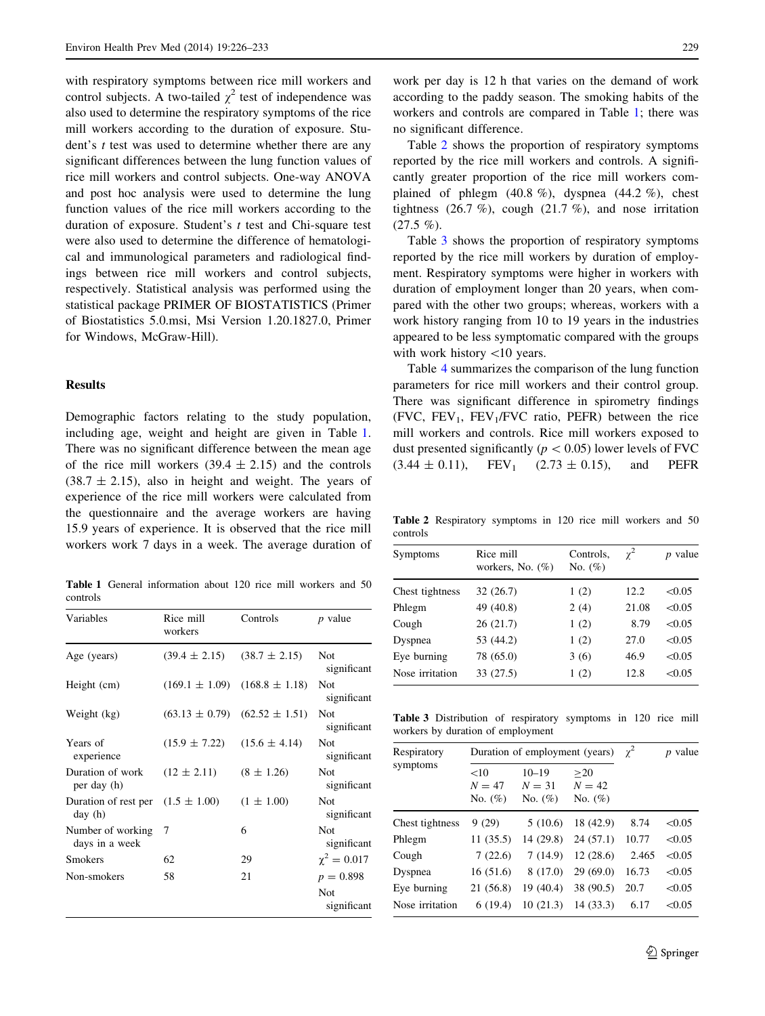with respiratory symptoms between rice mill workers and control subjects. A two-tailed  $\chi^2$  test of independence was also used to determine the respiratory symptoms of the rice mill workers according to the duration of exposure. Student's *t* test was used to determine whether there are any significant differences between the lung function values of rice mill workers and control subjects. One-way ANOVA and post hoc analysis were used to determine the lung function values of the rice mill workers according to the duration of exposure. Student's  $t$  test and Chi-square test were also used to determine the difference of hematological and immunological parameters and radiological findings between rice mill workers and control subjects, respectively. Statistical analysis was performed using the statistical package PRIMER OF BIOSTATISTICS (Primer of Biostatistics 5.0.msi, Msi Version 1.20.1827.0, Primer for Windows, McGraw-Hill).

### Results

Demographic factors relating to the study population, including age, weight and height are given in Table 1. There was no significant difference between the mean age of the rice mill workers  $(39.4 \pm 2.15)$  and the controls  $(38.7 \pm 2.15)$ , also in height and weight. The years of experience of the rice mill workers were calculated from the questionnaire and the average workers are having 15.9 years of experience. It is observed that the rice mill workers work 7 days in a week. The average duration of

Table 1 General information about 120 rice mill workers and 50 controls

| Variables                           | Rice mill<br>workers | Controls           | $p$ value                                |
|-------------------------------------|----------------------|--------------------|------------------------------------------|
| Age (years)                         | $(39.4 \pm 2.15)$    | $(38.7 \pm 2.15)$  | Not<br>significant                       |
| Height (cm)                         | $(169.1 \pm 1.09)$   | $(168.8 \pm 1.18)$ | <b>Not</b><br>significant                |
| Weight (kg)                         | $(63.13 \pm 0.79)$   | $(62.52 \pm 1.51)$ | <b>Not</b><br>significant                |
| Years of<br>experience              | $(15.9 \pm 7.22)$    | $(15.6 \pm 4.14)$  | <b>Not</b><br>significant                |
| Duration of work<br>per day (h)     | $(12 \pm 2.11)$      | $(8 \pm 1.26)$     | <b>Not</b><br>significant                |
| Duration of rest per<br>day (h)     | $(1.5 \pm 1.00)$     | $(1 \pm 1.00)$     | <b>Not</b><br>significant                |
| Number of working<br>days in a week | 7                    | 6                  | <b>Not</b><br>significant                |
| <b>Smokers</b>                      | 62                   | 29                 | $\chi^2 = 0.017$                         |
| Non-smokers                         | 58                   | 21                 | $p = 0.898$<br><b>Not</b><br>significant |

work per day is 12 h that varies on the demand of work according to the paddy season. The smoking habits of the workers and controls are compared in Table 1; there was no significant difference.

Table 2 shows the proportion of respiratory symptoms reported by the rice mill workers and controls. A significantly greater proportion of the rice mill workers complained of phlegm  $(40.8 \%)$ , dyspnea  $(44.2 \%)$ , chest tightness  $(26.7 \%)$ , cough  $(21.7 \%)$ , and nose irritation  $(27.5 \%)$ .

Table 3 shows the proportion of respiratory symptoms reported by the rice mill workers by duration of employment. Respiratory symptoms were higher in workers with duration of employment longer than 20 years, when compared with the other two groups; whereas, workers with a work history ranging from 10 to 19 years in the industries appeared to be less symptomatic compared with the groups with work history  $\langle 10 \rangle$  years.

Table [4](#page-4-0) summarizes the comparison of the lung function parameters for rice mill workers and their control group. There was significant difference in spirometry findings (FVC,  $FEV_1$ ,  $FEV_1/FVC$  ratio, PEFR) between the rice mill workers and controls. Rice mill workers exposed to dust presented significantly ( $p < 0.05$ ) lower levels of FVC  $(3.44 \pm 0.11)$ , FEV<sub>1</sub>  $(2.73 \pm 0.15)$ , and PEFR

Table 2 Respiratory symptoms in 120 rice mill workers and 50 controls

| Symptoms        | Rice mill<br>workers, No. $(\%)$ | Controls,<br>No. $(\%)$ | $\chi^2$ | <i>p</i> value |  |
|-----------------|----------------------------------|-------------------------|----------|----------------|--|
| Chest tightness | 32 (26.7)                        | 1(2)                    | 12.2.    | < 0.05         |  |
| Phlegm          | 49 (40.8)                        | 2(4)                    | 21.08    | < 0.05         |  |
| Cough           | 26(21.7)                         | 1(2)                    | 8.79     | < 0.05         |  |
| Dyspnea         | 53 (44.2)                        | 1(2)                    | 27.0     | < 0.05         |  |
| Eye burning     | 78 (65.0)                        | 3(6)                    | 46.9     | < 0.05         |  |
| Nose irritation | 33(27.5)                         | 1(2)                    | 12.8     | < 0.05         |  |

Table 3 Distribution of respiratory symptoms in 120 rice mill workers by duration of employment

| Respiratory     |                                   | Duration of employment (years)      | $\gamma^2$                    | <i>p</i> value |        |
|-----------------|-----------------------------------|-------------------------------------|-------------------------------|----------------|--------|
| symptoms        | ${<}10$<br>$N = 47$<br>No. $(\%)$ | $10 - 19$<br>$N = 31$<br>No. $(\%)$ | >20<br>$N = 42$<br>No. $(\%)$ |                |        |
| Chest tightness | 9(29)                             | 5(10.6)                             | 18 (42.9)                     | 8.74           | < 0.05 |
| Phlegm          | 11(35.5)                          | 14 (29.8)                           | 24(57.1)                      | 10.77          | < 0.05 |
| Cough           | 7(22.6)                           | 7(14.9)                             | 12(28.6)                      | 2.465          | < 0.05 |
| Dyspnea         | 16(51.6)                          | 8 (17.0)                            | 29(69.0)                      | 16.73          | < 0.05 |
| Eye burning     | 21 (56.8)                         | 19 (40.4)                           | 38 (90.5)                     | 20.7           | < 0.05 |
| Nose irritation | 6(19.4)                           | 10(21.3)                            | 14(33.3)                      | 6.17           | < 0.05 |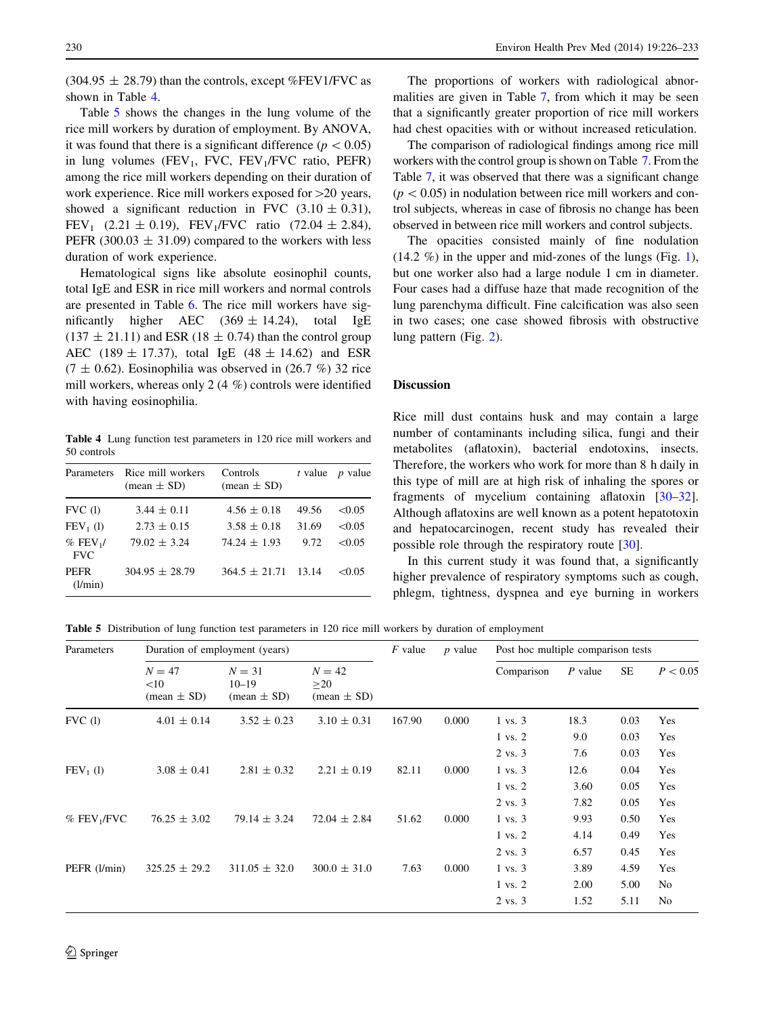<span id="page-4-0"></span> $(304.95 \pm 28.79)$  than the controls, except %FEV1/FVC as shown in Table 4.

Table 5 shows the changes in the lung volume of the rice mill workers by duration of employment. By ANOVA, it was found that there is a significant difference ( $p < 0.05$ ) in lung volumes (FEV<sub>1</sub>, FVC, FEV<sub>1</sub>/FVC ratio, PEFR) among the rice mill workers depending on their duration of work experience. Rice mill workers exposed for  $>20$  years, showed a significant reduction in FVC  $(3.10 \pm 0.31)$ , FEV<sub>1</sub> (2.21  $\pm$  0.19), FEV<sub>1</sub>/FVC ratio (72.04  $\pm$  2.84), PEFR (300.03  $\pm$  31.09) compared to the workers with less duration of work experience.

Hematological signs like absolute eosinophil counts, total IgE and ESR in rice mill workers and normal controls are presented in Table [6.](#page-5-0) The rice mill workers have significantly higher AEC  $(369 \pm 14.24)$ , total IgE  $(137 \pm 21.11)$  and ESR (18  $\pm$  0.74) than the control group AEC (189  $\pm$  17.37), total IgE (48  $\pm$  14.62) and ESR  $(7 \pm 0.62)$ . Eosinophilia was observed in  $(26.7 \%)$  32 rice mill workers, whereas only 2 (4 %) controls were identified with having eosinophilia.

Table 4 Lung function test parameters in 120 rice mill workers and 50 controls

| Parameters                           | Rice mill workers<br>$(\text{mean} \pm \text{SD})$ | Controls<br>(mean $\pm$ SD) | t value | <i>p</i> value |
|--------------------------------------|----------------------------------------------------|-----------------------------|---------|----------------|
| FVC(1)                               | $3.44 \pm 0.11$                                    | $4.56 \pm 0.18$             | 49.56   | <0.05          |
| $FEV_1$ (1)                          | $2.73 \pm 0.15$                                    | $3.58 \pm 0.18$             | 31.69   | <0.05          |
| $%$ FEV <sub>1</sub> /<br><b>FVC</b> | $79.02 \pm 3.24$                                   | $74.24 \pm 1.93$            | 9.72    | <0.05          |
| <b>PEFR</b><br>(l/min)               | $304.95 \pm 28.79$                                 | $364.5 \pm 21.71$           | 13.14   | <0.05          |

The proportions of workers with radiological abnormalities are given in Table [7,](#page-5-0) from which it may be seen that a significantly greater proportion of rice mill workers had chest opacities with or without increased reticulation.

The comparison of radiological findings among rice mill workers with the control group is shown on Table [7.](#page-5-0) From the Table [7](#page-5-0), it was observed that there was a significant change  $(p<0.05)$  in nodulation between rice mill workers and control subjects, whereas in case of fibrosis no change has been observed in between rice mill workers and control subjects.

The opacities consisted mainly of fine nodulation  $(14.2 \%)$  $(14.2 \%)$  $(14.2 \%)$  in the upper and mid-zones of the lungs (Fig. 1), but one worker also had a large nodule 1 cm in diameter. Four cases had a diffuse haze that made recognition of the lung parenchyma difficult. Fine calcification was also seen in two cases; one case showed fibrosis with obstructive lung pattern (Fig. [2\)](#page-6-0).

#### **Discussion**

Rice mill dust contains husk and may contain a large number of contaminants including silica, fungi and their metabolites (aflatoxin), bacterial endotoxins, insects. Therefore, the workers who work for more than 8 h daily in this type of mill are at high risk of inhaling the spores or fragments of mycelium containing aflatoxin [\[30–32](#page-7-0)]. Although aflatoxins are well known as a potent hepatotoxin and hepatocarcinogen, recent study has revealed their possible role through the respiratory route [\[30](#page-7-0)].

In this current study it was found that, a significantly higher prevalence of respiratory symptoms such as cough, phlegm, tightness, dyspnea and eye burning in workers

Table 5 Distribution of lung function test parameters in 120 rice mill workers by duration of employment

| Parameters                | Duration of employment (years)                   |                                                        |                                        | $F$ value | $p$ value | Post hoc multiple comparison tests |           |      |          |
|---------------------------|--------------------------------------------------|--------------------------------------------------------|----------------------------------------|-----------|-----------|------------------------------------|-----------|------|----------|
|                           | $N = 47$<br><10<br>$(\text{mean} \pm \text{SD})$ | $N = 31$<br>$10 - 19$<br>$(\text{mean} \pm \text{SD})$ | $N = 42$<br>$\geq$ 20<br>$mean \pm SD$ |           |           | Comparison                         | $P$ value | SE   | P < 0.05 |
| FVC(1)                    | $4.01 \pm 0.14$                                  | $3.52 \pm 0.23$                                        | $3.10 \pm 0.31$                        | 167.90    | 0.000     | $1 \text{ vs. } 3$                 | 18.3      | 0.03 | Yes      |
|                           |                                                  |                                                        |                                        |           |           | $1$ vs. $2$                        | 9.0       | 0.03 | Yes      |
|                           |                                                  |                                                        |                                        |           |           | 2 vs. 3                            | 7.6       | 0.03 | Yes      |
| $FEV_1$ (1)               | $3.08 \pm 0.41$                                  | $2.81 \pm 0.32$                                        | $2.21 \pm 0.19$                        | 82.11     | 0.000     | $1 \text{ vs. } 3$                 | 12.6      | 0.04 | Yes      |
|                           |                                                  |                                                        |                                        |           |           | $1$ vs. $2$                        | 3.60      | 0.05 | Yes      |
|                           |                                                  |                                                        |                                        |           |           | 2 vs. 3                            | 7.82      | 0.05 | Yes      |
| $%$ FEV <sub>1</sub> /FVC | $76.25 \pm 3.02$                                 | $79.14 \pm 3.24$                                       | $72.04 \pm 2.84$                       | 51.62     | 0.000     | $1 \text{ vs. } 3$                 | 9.93      | 0.50 | Yes      |
|                           |                                                  |                                                        |                                        |           |           | $1$ vs. $2$                        | 4.14      | 0.49 | Yes      |
|                           |                                                  |                                                        |                                        |           |           | 2 vs. 3                            | 6.57      | 0.45 | Yes      |
| PEFR (l/min)              | $325.25 \pm 29.2$                                | $311.05 \pm 32.0$                                      | $300.0 \pm 31.0$                       | 7.63      | 0.000     | $1 \text{ vs. } 3$                 | 3.89      | 4.59 | Yes      |
|                           |                                                  |                                                        |                                        |           |           | $1$ vs. $2$                        | 2.00      | 5.00 | No       |
|                           |                                                  |                                                        |                                        |           |           | $2 \text{ vs. } 3$                 | 1.52      | 5.11 | No       |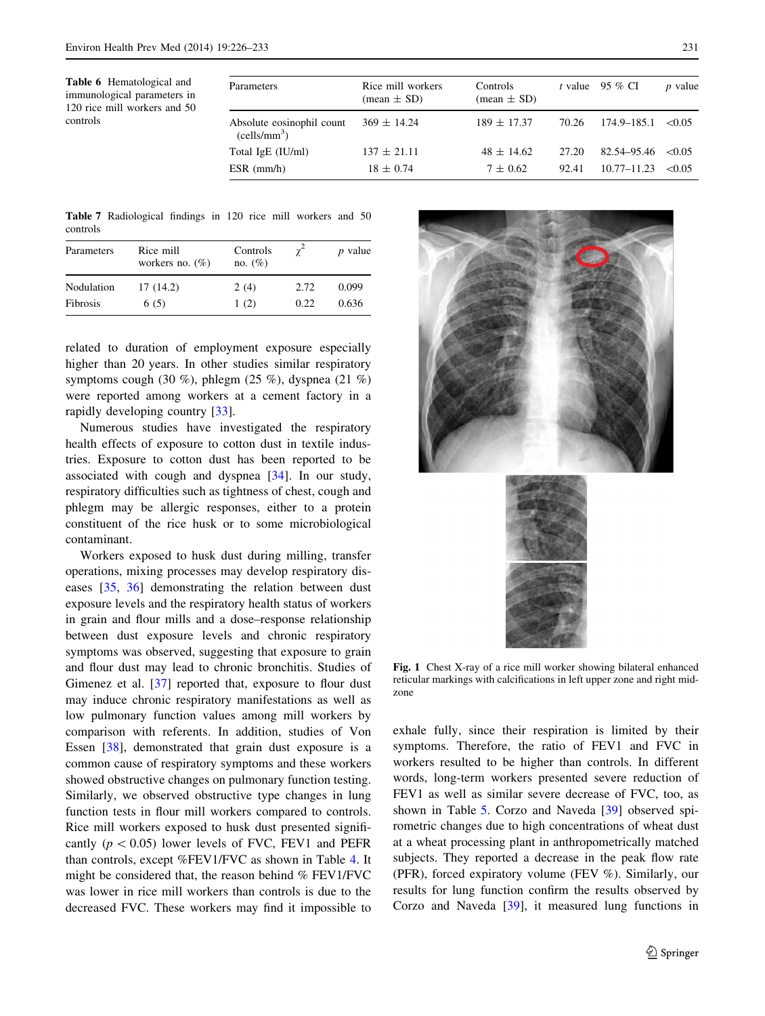<span id="page-5-0"></span>Table 6 Hematological and immunological parameters in 120 rice mill workers and 50 controls

| Parameters                                            | Rice mill workers<br>$(\text{mean} \pm \text{SD})$ | <b>Controls</b><br>(mean $\pm$ SD) | t value | 95 % CI                | $p$ value   |
|-------------------------------------------------------|----------------------------------------------------|------------------------------------|---------|------------------------|-------------|
| Absolute eosinophil count<br>(cells/mm <sup>3</sup> ) | $369 \pm 14.24$                                    | $189 \pm 17.37$                    | 70.26   | $174.9 - 185.1 < 0.05$ |             |
| Total IgE (IU/ml)                                     | $137 \pm 21.11$                                    | $48 \pm 14.62$                     | 27.20   | 82.54–95.46            | $\leq 0.05$ |
| $ESR$ (mm/h)                                          | $18 \pm 0.74$                                      | $7 \pm 0.62$                       | 92.41   | $10.77 - 11.23$        | <0.05       |

Table 7 Radiological findings in 120 rice mill workers and 50 controls

| Parameters | Rice mill<br>workers no. $(\%)$ | Controls<br>no. $(\%)$ |      | <i>p</i> value |
|------------|---------------------------------|------------------------|------|----------------|
| Nodulation | 17 (14.2)                       | 2(4)                   | 2.72 | 0.099          |
| Fibrosis   | 6(5)                            | 1(2)                   | 0.22 | 0.636          |

related to duration of employment exposure especially higher than 20 years. In other studies similar respiratory symptoms cough (30 %), phlegm (25 %), dyspnea (21 %) were reported among workers at a cement factory in a rapidly developing country [[33\]](#page-7-0).

Numerous studies have investigated the respiratory health effects of exposure to cotton dust in textile industries. Exposure to cotton dust has been reported to be associated with cough and dyspnea [[34\]](#page-7-0). In our study, respiratory difficulties such as tightness of chest, cough and phlegm may be allergic responses, either to a protein constituent of the rice husk or to some microbiological contaminant.

Workers exposed to husk dust during milling, transfer operations, mixing processes may develop respiratory diseases [[35,](#page-7-0) [36\]](#page-7-0) demonstrating the relation between dust exposure levels and the respiratory health status of workers in grain and flour mills and a dose–response relationship between dust exposure levels and chronic respiratory symptoms was observed, suggesting that exposure to grain and flour dust may lead to chronic bronchitis. Studies of Gimenez et al. [\[37](#page-7-0)] reported that, exposure to flour dust may induce chronic respiratory manifestations as well as low pulmonary function values among mill workers by comparison with referents. In addition, studies of Von Essen [[38\]](#page-7-0), demonstrated that grain dust exposure is a common cause of respiratory symptoms and these workers showed obstructive changes on pulmonary function testing. Similarly, we observed obstructive type changes in lung function tests in flour mill workers compared to controls. Rice mill workers exposed to husk dust presented significantly ( $p < 0.05$ ) lower levels of FVC, FEV1 and PEFR than controls, except %FEV1/FVC as shown in Table [4.](#page-4-0) It might be considered that, the reason behind % FEV1/FVC was lower in rice mill workers than controls is due to the decreased FVC. These workers may find it impossible to



Fig. 1 Chest X-ray of a rice mill worker showing bilateral enhanced reticular markings with calcifications in left upper zone and right midzone

exhale fully, since their respiration is limited by their symptoms. Therefore, the ratio of FEV1 and FVC in workers resulted to be higher than controls. In different words, long-term workers presented severe reduction of FEV1 as well as similar severe decrease of FVC, too, as shown in Table [5](#page-4-0). Corzo and Naveda [[39](#page-7-0)] observed spirometric changes due to high concentrations of wheat dust at a wheat processing plant in anthropometrically matched subjects. They reported a decrease in the peak flow rate (PFR), forced expiratory volume (FEV %). Similarly, our results for lung function confirm the results observed by Corzo and Naveda [[39\]](#page-7-0), it measured lung functions in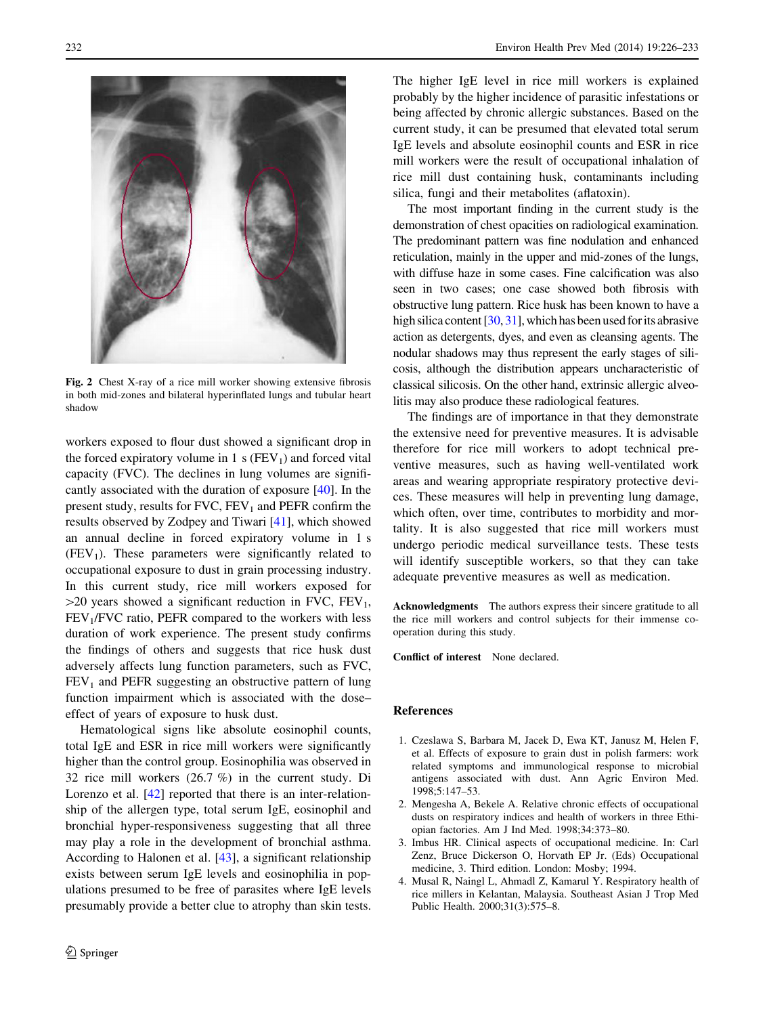<span id="page-6-0"></span>

Fig. 2 Chest X-ray of a rice mill worker showing extensive fibrosis in both mid-zones and bilateral hyperinflated lungs and tubular heart shadow

workers exposed to flour dust showed a significant drop in the forced expiratory volume in 1 s  $(FEV_1)$  and forced vital capacity (FVC). The declines in lung volumes are significantly associated with the duration of exposure [\[40](#page-7-0)]. In the present study, results for  $FVC$ ,  $FEV<sub>1</sub>$  and  $PEFR$  confirm the results observed by Zodpey and Tiwari [\[41](#page-7-0)], which showed an annual decline in forced expiratory volume in 1 s  $(FEV<sub>1</sub>)$ . These parameters were significantly related to occupational exposure to dust in grain processing industry. In this current study, rice mill workers exposed for  $>$ 20 years showed a significant reduction in FVC, FEV<sub>1</sub>,  $FEV<sub>1</sub>/FVC$  ratio, PEFR compared to the workers with less duration of work experience. The present study confirms the findings of others and suggests that rice husk dust adversely affects lung function parameters, such as FVC,  $FEV<sub>1</sub>$  and PEFR suggesting an obstructive pattern of lung function impairment which is associated with the dose– effect of years of exposure to husk dust.

Hematological signs like absolute eosinophil counts, total IgE and ESR in rice mill workers were significantly higher than the control group. Eosinophilia was observed in 32 rice mill workers (26.7 %) in the current study. Di Lorenzo et al. [\[42](#page-7-0)] reported that there is an inter-relationship of the allergen type, total serum IgE, eosinophil and bronchial hyper-responsiveness suggesting that all three may play a role in the development of bronchial asthma. According to Halonen et al. [[43\]](#page-7-0), a significant relationship exists between serum IgE levels and eosinophilia in populations presumed to be free of parasites where IgE levels presumably provide a better clue to atrophy than skin tests.

The higher IgE level in rice mill workers is explained probably by the higher incidence of parasitic infestations or being affected by chronic allergic substances. Based on the current study, it can be presumed that elevated total serum IgE levels and absolute eosinophil counts and ESR in rice mill workers were the result of occupational inhalation of rice mill dust containing husk, contaminants including silica, fungi and their metabolites (aflatoxin).

The most important finding in the current study is the demonstration of chest opacities on radiological examination. The predominant pattern was fine nodulation and enhanced reticulation, mainly in the upper and mid-zones of the lungs, with diffuse haze in some cases. Fine calcification was also seen in two cases; one case showed both fibrosis with obstructive lung pattern. Rice husk has been known to have a high silica content [[30,](#page-7-0) [31](#page-7-0)], which has been used for its abrasive action as detergents, dyes, and even as cleansing agents. The nodular shadows may thus represent the early stages of silicosis, although the distribution appears uncharacteristic of classical silicosis. On the other hand, extrinsic allergic alveolitis may also produce these radiological features.

The findings are of importance in that they demonstrate the extensive need for preventive measures. It is advisable therefore for rice mill workers to adopt technical preventive measures, such as having well-ventilated work areas and wearing appropriate respiratory protective devices. These measures will help in preventing lung damage, which often, over time, contributes to morbidity and mortality. It is also suggested that rice mill workers must undergo periodic medical surveillance tests. These tests will identify susceptible workers, so that they can take adequate preventive measures as well as medication.

Acknowledgments The authors express their sincere gratitude to all the rice mill workers and control subjects for their immense cooperation during this study.

Conflict of interest None declared.

#### References

- 1. Czeslawa S, Barbara M, Jacek D, Ewa KT, Janusz M, Helen F, et al. Effects of exposure to grain dust in polish farmers: work related symptoms and immunological response to microbial antigens associated with dust. Ann Agric Environ Med. 1998;5:147–53.
- 2. Mengesha A, Bekele A. Relative chronic effects of occupational dusts on respiratory indices and health of workers in three Ethiopian factories. Am J Ind Med. 1998;34:373–80.
- 3. Imbus HR. Clinical aspects of occupational medicine. In: Carl Zenz, Bruce Dickerson O, Horvath EP Jr. (Eds) Occupational medicine, 3. Third edition. London: Mosby; 1994.
- 4. Musal R, Naingl L, Ahmadl Z, Kamarul Y. Respiratory health of rice millers in Kelantan, Malaysia. Southeast Asian J Trop Med Public Health. 2000;31(3):575–8.